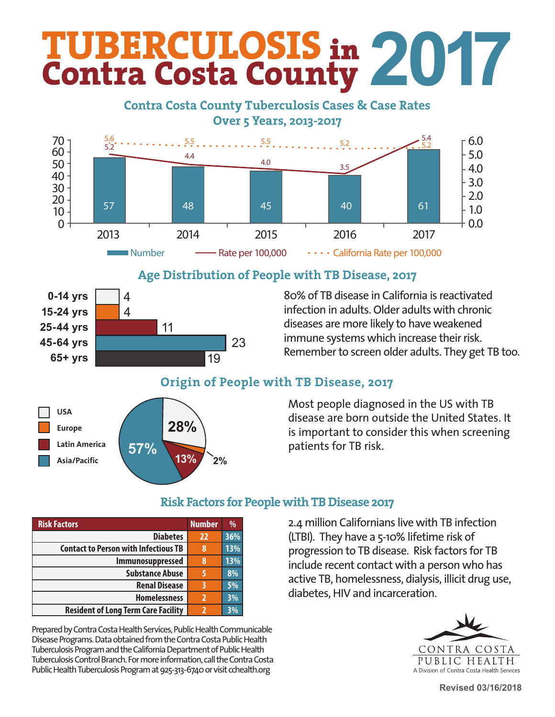# **TUBERCULOSIS** in **Contra Costa County 2017**

### **Contra Costa County Tuberculosis Cases & Case Rates Contra Contra Contra Contra Contra Contra Contra Contra Contra Contra Contra Contra Contra Contra Contra Contr Over 5 Years, 2013-2017**



### $\Lambda$ go Distribution s o with TR Dicease, 2017 Age Distribution of People with TB Disease, 2017



80% of TB disease in California is reactivated infection in adults. Older adults with chronic and to prevent the space of TB in our community. Once it was to prevent the spread of diseases are more likely to have weakened<br>. immune systems which increase their risk. Remember to screen older adults. They get TB too.

### in California has decreased 24 formation results in the 1938. Mario 1938. March 31 and 24 follows 1938. March 31  $\sigma$  $\mathbf{h}$  TB disease or are new Americans from Table Origin of People with TB Disease, 2017



Most people diagnosed in the US with TB most people diagnosed in the 65 with 15 disease are born outside the United States. It is important to consider this when screening patients for TB risk.

| <b>Risk Factors</b>                         | <b>Number</b>  | $\frac{0}{0}$ |
|---------------------------------------------|----------------|---------------|
| <b>Diabetes</b>                             | 22             | 36%           |
| <b>Contact to Person with Infectious TB</b> | 8              | 13%           |
| Immunosuppressed                            | 8              | 13%           |
| <b>Substance Abuse</b>                      |                | 8%            |
| <b>Renal Disease</b>                        | 3              | 5%            |
| <b>Homelessness</b>                         | $\overline{2}$ | 3%            |
| <b>Resident of Long Term Care Facility</b>  | ר              | 3%            |

Prepared by Contra Costa Health Services, Public Health Communicable Disease Programs. Data obtained from the Contra Costa Public Health Tuberculosis Program and the California Department of Public Health Tuberculosis Control Branch. For more information, call the Contra Costa Public Health Tuberculosis Program at 925-313-6740 or visit cchealth.org

# **Risk Factors for People with TB Disease 2017**

2.4 million Californians live with TB infection (LTBI). They have a 5-10% lifetime risk of progression to TB disease. Risk factors for TB include recent contact with a person who has active TB, homelessness, dialysis, illicit drug use, diabetes, HIV and incarceration.



**Revised 03/16/2018**